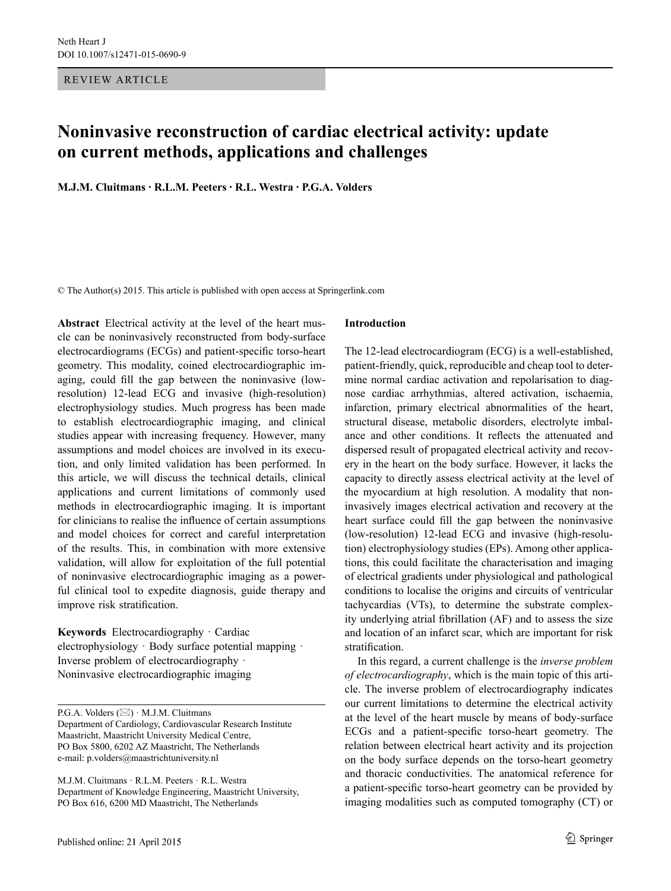Review Article

# **Noninvasive reconstruction of cardiac electrical activity: update on current methods, applications and challenges**

**M.J.M. Cluitmans · R.L.M. Peeters · R.L. Westra · P.G.A. Volders**

© The Author(s) 2015. This article is published with open access at Springerlink.com

**Abstract** Electrical activity at the level of the heart muscle can be noninvasively reconstructed from body-surface electrocardiograms (ECGs) and patient-specific torso-heart geometry. This modality, coined electrocardiographic imaging, could fill the gap between the noninvasive (lowresolution) 12-lead ECG and invasive (high-resolution) electrophysiology studies. Much progress has been made to establish electrocardiographic imaging, and clinical studies appear with increasing frequency. However, many assumptions and model choices are involved in its execution, and only limited validation has been performed. In this article, we will discuss the technical details, clinical applications and current limitations of commonly used methods in electrocardiographic imaging. It is important for clinicians to realise the influence of certain assumptions and model choices for correct and careful interpretation of the results. This, in combination with more extensive validation, will allow for exploitation of the full potential of noninvasive electrocardiographic imaging as a powerful clinical tool to expedite diagnosis, guide therapy and improve risk stratification.

**Keywords** Electrocardiography · Cardiac electrophysiology · Body surface potential mapping · Inverse problem of electrocardiography · Noninvasive electrocardiographic imaging

P.G.A. Volders  $(\boxtimes) \cdot M.J.M.$  Cluitmans Department of Cardiology, Cardiovascular Research Institute Maastricht, Maastricht University Medical Centre, PO Box 5800, 6202 AZ Maastricht, The Netherlands e-mail: p.volders@maastrichtuniversity.nl

M.J.M. Cluitmans · R.L.M. Peeters · R.L. Westra Department of Knowledge Engineering, Maastricht University, PO Box 616, 6200 MD Maastricht, The Netherlands

## **Introduction**

The 12-lead electrocardiogram (ECG) is a well-established, patient-friendly, quick, reproducible and cheap tool to determine normal cardiac activation and repolarisation to diagnose cardiac arrhythmias, altered activation, ischaemia, infarction, primary electrical abnormalities of the heart, structural disease, metabolic disorders, electrolyte imbalance and other conditions. It reflects the attenuated and dispersed result of propagated electrical activity and recovery in the heart on the body surface. However, it lacks the capacity to directly assess electrical activity at the level of the myocardium at high resolution. A modality that noninvasively images electrical activation and recovery at the heart surface could fill the gap between the noninvasive (low-resolution) 12-lead ECG and invasive (high-resolution) electrophysiology studies (EPs). Among other applications, this could facilitate the characterisation and imaging of electrical gradients under physiological and pathological conditions to localise the origins and circuits of ventricular tachycardias (VTs), to determine the substrate complexity underlying atrial fibrillation (AF) and to assess the size and location of an infarct scar, which are important for risk stratification.

In this regard, a current challenge is the *inverse problem of electrocardiography*, which is the main topic of this article. The inverse problem of electrocardiography indicates our current limitations to determine the electrical activity at the level of the heart muscle by means of body-surface ECGs and a patient-specific torso-heart geometry. The relation between electrical heart activity and its projection on the body surface depends on the torso-heart geometry and thoracic conductivities. The anatomical reference for a patient-specific torso-heart geometry can be provided by imaging modalities such as computed tomography (CT) or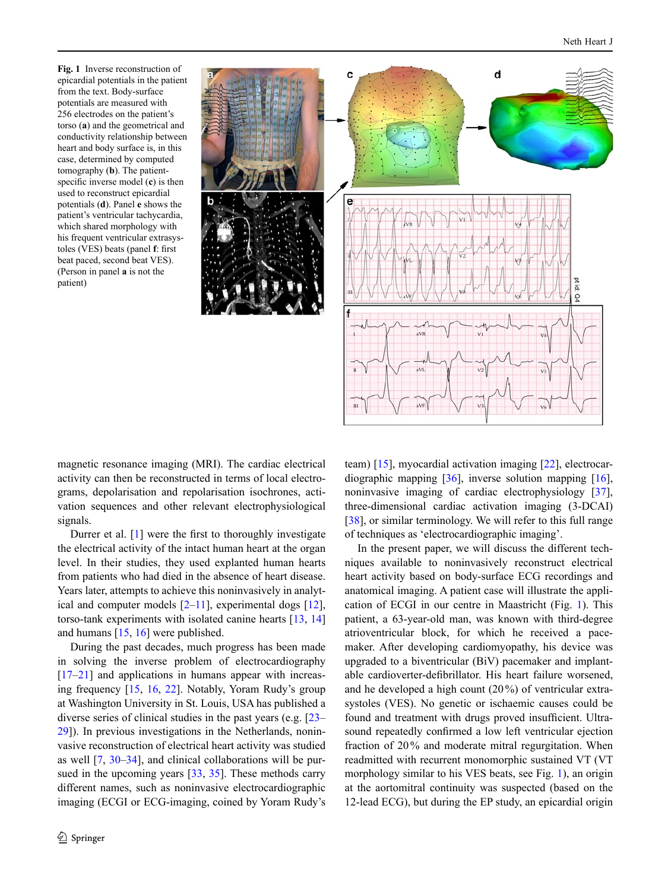<span id="page-1-0"></span>**Fig. 1** Inverse reconstruction of epicardial potentials in the patient from the text. Body-surface potentials are measured with 256 electrodes on the patient's torso (**a**) and the geometrical and conductivity relationship between heart and body surface is, in this case, determined by computed tomography (**b**). The patientspecific inverse model (**c**) is then used to reconstruct epicardial potentials (**d**). Panel **e** shows the patient's ventricular tachycardia, which shared morphology with his frequent ventricular extrasystoles (VES) beats (panel **f**: first beat paced, second beat VES). (Person in panel **a** is not the patient)



magnetic resonance imaging (MRI). The cardiac electrical activity can then be reconstructed in terms of local electrograms, depolarisation and repolarisation isochrones, activation sequences and other relevant electrophysiological signals.

Durrer et al. [\[1](#page-8-0)] were the first to thoroughly investigate the electrical activity of the intact human heart at the organ level. In their studies, they used explanted human hearts from patients who had died in the absence of heart disease. Years later, attempts to achieve this noninvasively in analytical and computer models  $[2-11]$  $[2-11]$ , experimental dogs  $[12]$  $[12]$ , torso-tank experiments with isolated canine hearts [\[13](#page-8-4), [14\]](#page-8-5) and humans [[15,](#page-8-6) [16\]](#page-8-7) were published.

During the past decades, much progress has been made in solving the inverse problem of electrocardiography [\[17](#page-8-8)[–21](#page-8-9)] and applications in humans appear with increasing frequency [\[15](#page-8-6), [16,](#page-8-7) [22\]](#page-8-10). Notably, Yoram Rudy's group at Washington University in St. Louis, USA has published a diverse series of clinical studies in the past years (e.g. [\[23](#page-8-11)– [29](#page-8-12)]). In previous investigations in the Netherlands, noninvasive reconstruction of electrical heart activity was studied as well [\[7](#page-8-13), [30](#page-8-14)[–34](#page-8-15)], and clinical collaborations will be pur-sued in the upcoming years [[33,](#page-8-16) [35\]](#page-9-0). These methods carry different names, such as noninvasive electrocardiographic imaging (ECGI or ECG-imaging, coined by Yoram Rudy's team) [\[15](#page-8-6)], myocardial activation imaging [[22\]](#page-8-10), electrocardiographic mapping [[36\]](#page-9-1), inverse solution mapping [\[16](#page-8-7)], noninvasive imaging of cardiac electrophysiology [\[37](#page-9-2)], three-dimensional cardiac activation imaging (3-DCAI) [\[38](#page-9-3)], or similar terminology. We will refer to this full range of techniques as 'electrocardiographic imaging'.

In the present paper, we will discuss the different techniques available to noninvasively reconstruct electrical heart activity based on body-surface ECG recordings and anatomical imaging. A patient case will illustrate the application of ECGI in our centre in Maastricht (Fig. [1\)](#page-1-0). This patient, a 63-year-old man, was known with third-degree atrioventricular block, for which he received a pacemaker. After developing cardiomyopathy, his device was upgraded to a biventricular (BiV) pacemaker and implantable cardioverter-defibrillator. His heart failure worsened, and he developed a high count (20%) of ventricular extrasystoles (VES). No genetic or ischaemic causes could be found and treatment with drugs proved insufficient. Ultrasound repeatedly confirmed a low left ventricular ejection fraction of 20% and moderate mitral regurgitation. When readmitted with recurrent monomorphic sustained VT (VT morphology similar to his VES beats, see Fig. [1\)](#page-1-0), an origin at the aortomitral continuity was suspected (based on the 12-lead ECG), but during the EP study, an epicardial origin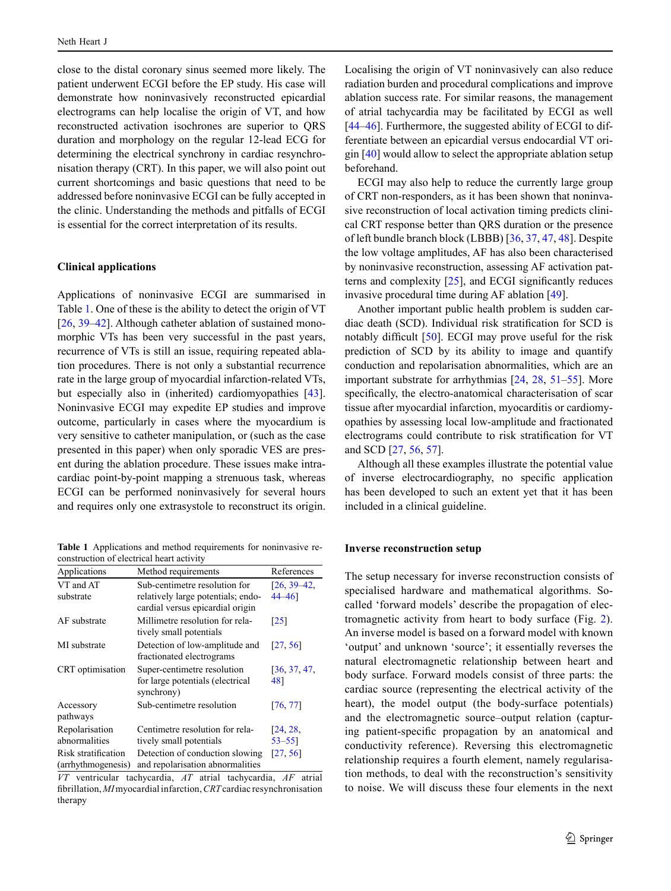close to the distal coronary sinus seemed more likely. The patient underwent ECGI before the EP study. His case will demonstrate how noninvasively reconstructed epicardial electrograms can help localise the origin of VT, and how reconstructed activation isochrones are superior to QRS duration and morphology on the regular 12-lead ECG for determining the electrical synchrony in cardiac resynchronisation therapy (CRT). In this paper, we will also point out current shortcomings and basic questions that need to be addressed before noninvasive ECGI can be fully accepted in the clinic. Understanding the methods and pitfalls of ECGI is essential for the correct interpretation of its results.

## **Clinical applications**

Applications of noninvasive ECGI are summarised in Table [1](#page-2-0). One of these is the ability to detect the origin of VT [\[26](#page-8-21), [39–](#page-9-15)[42\]](#page-9-16). Although catheter ablation of sustained monomorphic VTs has been very successful in the past years, recurrence of VTs is still an issue, requiring repeated ablation procedures. There is not only a substantial recurrence rate in the large group of myocardial infarction-related VTs, but especially also in (inherited) cardiomyopathies [\[43](#page-9-17)]. Noninvasive ECGI may expedite EP studies and improve outcome, particularly in cases where the myocardium is very sensitive to catheter manipulation, or (such as the case presented in this paper) when only sporadic VES are present during the ablation procedure. These issues make intracardiac point-by-point mapping a strenuous task, whereas ECGI can be performed noninvasively for several hours and requires only one extrasystole to reconstruct its origin.

<span id="page-2-0"></span>**Table 1** Applications and method requirements for noninvasive reconstruction of electrical heart activity

| Applications                              | Method requirements                                                                                     | References                 |
|-------------------------------------------|---------------------------------------------------------------------------------------------------------|----------------------------|
| VT and AT<br>substrate                    | Sub-centimetre resolution for<br>relatively large potentials; endo-<br>cardial versus epicardial origin | $[26, 39-42]$<br>$44 - 46$ |
| AF substrate                              | Millimetre resolution for rela-<br>tively small potentials                                              | $\lceil 25 \rceil$         |
| MI substrate                              | Detection of low-amplitude and<br>fractionated electrograms                                             | [27, 56]                   |
| CRT optimisation                          | Super-centimetre resolution<br>for large potentials (electrical<br>synchrony)                           | [36, 37, 47]<br>481        |
| Accessory<br>pathways                     | Sub-centimetre resolution                                                                               | [76, 77]                   |
| Repolarisation<br>abnormalities           | Centimetre resolution for rela-<br>tively small potentials                                              | [24, 28,<br>$53 - 55$      |
| Risk stratification<br>(arrhythmogenesis) | Detection of conduction slowing<br>and repolarisation abnormalities                                     | [27, 56]                   |

*VT* ventricular tachycardia, *AT* atrial tachycardia, *AF* atrial fibrillation, *MI* myocardial infarction, *CRT* cardiac resynchronisation therapy

Localising the origin of VT noninvasively can also reduce radiation burden and procedural complications and improve ablation success rate. For similar reasons, the management of atrial tachycardia may be facilitated by ECGI as well [\[44](#page-9-4)[–46](#page-9-5)]. Furthermore, the suggested ability of ECGI to differentiate between an epicardial versus endocardial VT origin [\[40](#page-9-6)] would allow to select the appropriate ablation setup beforehand.

ECGI may also help to reduce the currently large group of CRT non-responders, as it has been shown that noninvasive reconstruction of local activation timing predicts clinical CRT response better than QRS duration or the presence of left bundle branch block (LBBB) [\[36](#page-9-1), [37,](#page-9-2) [47](#page-9-7), [48\]](#page-9-8). Despite the low voltage amplitudes, AF has also been characterised by noninvasive reconstruction, assessing AF activation patterns and complexity [[25](#page-8-17)], and ECGI significantly reduces invasive procedural time during AF ablation [[49\]](#page-9-9).

Another important public health problem is sudden cardiac death (SCD). Individual risk stratification for SCD is notably difficult [[50\]](#page-9-10). ECGI may prove useful for the risk prediction of SCD by its ability to image and quantify conduction and repolarisation abnormalities, which are an important substrate for arrhythmias [[24,](#page-8-18) [28,](#page-8-19) [51](#page-9-11)[–55](#page-9-12)]. More specifically, the electro-anatomical characterisation of scar tissue after myocardial infarction, myocarditis or cardiomyopathies by assessing local low-amplitude and fractionated electrograms could contribute to risk stratification for VT and SCD [\[27](#page-8-20), [56](#page-9-13), [57](#page-9-14)].

Although all these examples illustrate the potential value of inverse electrocardiography, no specific application has been developed to such an extent yet that it has been included in a clinical guideline.

## **Inverse reconstruction setup**

The setup necessary for inverse reconstruction consists of specialised hardware and mathematical algorithms. Socalled 'forward models' describe the propagation of electromagnetic activity from heart to body surface (Fig. [2](#page-3-0)). An inverse model is based on a forward model with known 'output' and unknown 'source'; it essentially reverses the natural electromagnetic relationship between heart and body surface. Forward models consist of three parts: the cardiac source (representing the electrical activity of the heart), the model output (the body-surface potentials) and the electromagnetic source–output relation (capturing patient-specific propagation by an anatomical and conductivity reference). Reversing this electromagnetic relationship requires a fourth element, namely regularisation methods, to deal with the reconstruction's sensitivity to noise. We will discuss these four elements in the next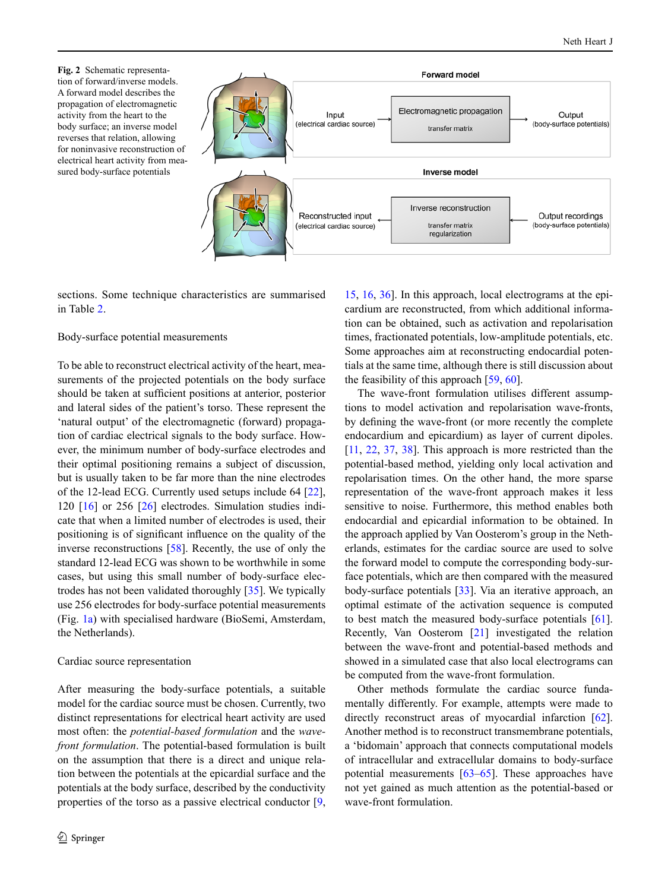<span id="page-3-0"></span>**Fig. 2** Schematic representation of forward/inverse models. A forward model describes the propagation of electromagnetic activity from the heart to the body surface; an inverse model reverses that relation, allowing for noninvasive reconstruction of electrical heart activity from measured body-surface potentials



sections. Some technique characteristics are summarised in Table [2.](#page-4-0)

## Body-surface potential measurements

To be able to reconstruct electrical activity of the heart, measurements of the projected potentials on the body surface should be taken at sufficient positions at anterior, posterior and lateral sides of the patient's torso. These represent the 'natural output' of the electromagnetic (forward) propagation of cardiac electrical signals to the body surface. However, the minimum number of body-surface electrodes and their optimal positioning remains a subject of discussion, but is usually taken to be far more than the nine electrodes of the 12-lead ECG. Currently used setups include 64 [\[22](#page-8-10)], 120 [\[16](#page-8-7)] or 256 [[26\]](#page-8-21) electrodes. Simulation studies indicate that when a limited number of electrodes is used, their positioning is of significant influence on the quality of the inverse reconstructions [\[58](#page-9-25)]. Recently, the use of only the standard 12-lead ECG was shown to be worthwhile in some cases, but using this small number of body-surface electrodes has not been validated thoroughly [\[35](#page-9-0)]. We typically use 256 electrodes for body-surface potential measurements (Fig. [1a\)](#page-1-0) with specialised hardware (BioSemi, Amsterdam, the Netherlands).

#### Cardiac source representation

After measuring the body-surface potentials, a suitable model for the cardiac source must be chosen. Currently, two distinct representations for electrical heart activity are used most often: the *potential-based formulation* and the *wavefront formulation*. The potential-based formulation is built on the assumption that there is a direct and unique relation between the potentials at the epicardial surface and the potentials at the body surface, described by the conductivity properties of the torso as a passive electrical conductor [[9,](#page-8-22)

[15](#page-8-6), [16,](#page-8-7) [36](#page-9-1)]. In this approach, local electrograms at the epicardium are reconstructed, from which additional information can be obtained, such as activation and repolarisation times, fractionated potentials, low-amplitude potentials, etc. Some approaches aim at reconstructing endocardial potentials at the same time, although there is still discussion about the feasibility of this approach [[59,](#page-9-19) [60\]](#page-9-20).

The wave-front formulation utilises different assumptions to model activation and repolarisation wave-fronts, by defining the wave-front (or more recently the complete endocardium and epicardium) as layer of current dipoles. [\[11](#page-8-2), [22,](#page-8-10) [37,](#page-9-2) [38\]](#page-9-3). This approach is more restricted than the potential-based method, yielding only local activation and repolarisation times. On the other hand, the more sparse representation of the wave-front approach makes it less sensitive to noise. Furthermore, this method enables both endocardial and epicardial information to be obtained. In the approach applied by Van Oosterom's group in the Netherlands, estimates for the cardiac source are used to solve the forward model to compute the corresponding body-surface potentials, which are then compared with the measured body-surface potentials [\[33](#page-8-16)]. Via an iterative approach, an optimal estimate of the activation sequence is computed to best match the measured body-surface potentials [\[61](#page-9-21)]. Recently, Van Oosterom [[21\]](#page-8-9) investigated the relation between the wave-front and potential-based methods and showed in a simulated case that also local electrograms can be computed from the wave-front formulation.

Other methods formulate the cardiac source fundamentally differently. For example, attempts were made to directly reconstruct areas of myocardial infarction [\[62](#page-9-22)]. Another method is to reconstruct transmembrane potentials, a 'bidomain' approach that connects computational models of intracellular and extracellular domains to body-surface potential measurements [\[63](#page-9-23)[–65](#page-9-24)]. These approaches have not yet gained as much attention as the potential-based or wave-front formulation.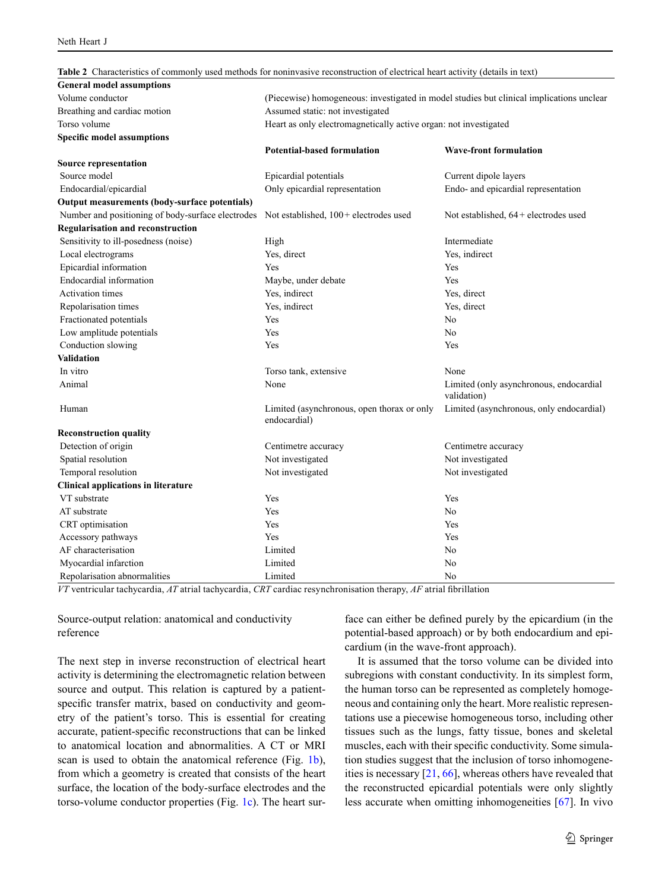<span id="page-4-0"></span>

| Table 2 Characteristics of commonly used methods for noninvasive reconstruction of electrical heart activity (details in text) |  |  |  |
|--------------------------------------------------------------------------------------------------------------------------------|--|--|--|
|                                                                                                                                |  |  |  |

| <b>General model assumptions</b>                  |                                                                                          |                                                        |  |  |
|---------------------------------------------------|------------------------------------------------------------------------------------------|--------------------------------------------------------|--|--|
| Volume conductor                                  | (Piecewise) homogeneous: investigated in model studies but clinical implications unclear |                                                        |  |  |
| Breathing and cardiac motion                      | Assumed static: not investigated                                                         |                                                        |  |  |
| Torso volume                                      | Heart as only electromagnetically active organ: not investigated                         |                                                        |  |  |
| <b>Specific model assumptions</b>                 |                                                                                          |                                                        |  |  |
|                                                   | <b>Potential-based formulation</b>                                                       | <b>Wave-front formulation</b>                          |  |  |
| <b>Source representation</b>                      |                                                                                          |                                                        |  |  |
| Source model                                      | Epicardial potentials                                                                    | Current dipole layers                                  |  |  |
| Endocardial/epicardial                            | Only epicardial representation                                                           | Endo- and epicardial representation                    |  |  |
| Output measurements (body-surface potentials)     |                                                                                          |                                                        |  |  |
| Number and positioning of body-surface electrodes | Not established, $100 +$ electrodes used                                                 | Not established, $64 +$ electrodes used                |  |  |
| <b>Regularisation and reconstruction</b>          |                                                                                          |                                                        |  |  |
| Sensitivity to ill-posedness (noise)              | High                                                                                     | Intermediate                                           |  |  |
| Local electrograms                                | Yes, direct                                                                              | Yes, indirect                                          |  |  |
| Epicardial information                            | Yes                                                                                      | Yes                                                    |  |  |
| Endocardial information                           | Maybe, under debate                                                                      | <b>Yes</b>                                             |  |  |
| <b>Activation</b> times                           | Yes, indirect                                                                            | Yes, direct                                            |  |  |
| Repolarisation times                              | Yes, indirect                                                                            | Yes, direct                                            |  |  |
| Fractionated potentials                           | Yes                                                                                      | No                                                     |  |  |
| Low amplitude potentials                          | Yes                                                                                      | No                                                     |  |  |
| Conduction slowing                                | Yes                                                                                      | Yes                                                    |  |  |
| Validation                                        |                                                                                          |                                                        |  |  |
| In vitro                                          | Torso tank, extensive                                                                    | None                                                   |  |  |
| Animal                                            | None                                                                                     | Limited (only asynchronous, endocardial<br>validation) |  |  |
| Human                                             | Limited (asynchronous, open thorax or only<br>endocardial)                               | Limited (asynchronous, only endocardial)               |  |  |
| <b>Reconstruction quality</b>                     |                                                                                          |                                                        |  |  |
| Detection of origin                               | Centimetre accuracy                                                                      | Centimetre accuracy                                    |  |  |
| Spatial resolution                                | Not investigated                                                                         | Not investigated                                       |  |  |
| Temporal resolution                               | Not investigated                                                                         | Not investigated                                       |  |  |
| <b>Clinical applications in literature</b>        |                                                                                          |                                                        |  |  |
| VT substrate                                      | Yes                                                                                      | Yes                                                    |  |  |
| AT substrate                                      | Yes                                                                                      | N <sub>0</sub>                                         |  |  |
| CRT optimisation                                  | Yes                                                                                      | Yes                                                    |  |  |
| Accessory pathways                                | Yes                                                                                      | Yes                                                    |  |  |
| AF characterisation                               | Limited                                                                                  | No                                                     |  |  |
| Myocardial infarction                             | Limited                                                                                  | No                                                     |  |  |
| Repolarisation abnormalities                      | Limited                                                                                  | No                                                     |  |  |

*VT* ventricular tachycardia, *AT* atrial tachycardia, *CRT* cardiac resynchronisation therapy, *AF* atrial fibrillation

Source-output relation: anatomical and conductivity reference

The next step in inverse reconstruction of electrical heart activity is determining the electromagnetic relation between source and output. This relation is captured by a patientspecific transfer matrix, based on conductivity and geometry of the patient's torso. This is essential for creating accurate, patient-specific reconstructions that can be linked to anatomical location and abnormalities. A CT or MRI scan is used to obtain the anatomical reference (Fig. [1b](#page-1-0)), from which a geometry is created that consists of the heart surface, the location of the body-surface electrodes and the torso-volume conductor properties (Fig. [1c](#page-1-0)). The heart surface can either be defined purely by the epicardium (in the potential-based approach) or by both endocardium and epicardium (in the wave-front approach).

It is assumed that the torso volume can be divided into subregions with constant conductivity. In its simplest form, the human torso can be represented as completely homogeneous and containing only the heart. More realistic representations use a piecewise homogeneous torso, including other tissues such as the lungs, fatty tissue, bones and skeletal muscles, each with their specific conductivity. Some simulation studies suggest that the inclusion of torso inhomogeneities is necessary [\[21](#page-8-9), [66\]](#page-9-26), whereas others have revealed that the reconstructed epicardial potentials were only slightly less accurate when omitting inhomogeneities [[67\]](#page-9-27). In vivo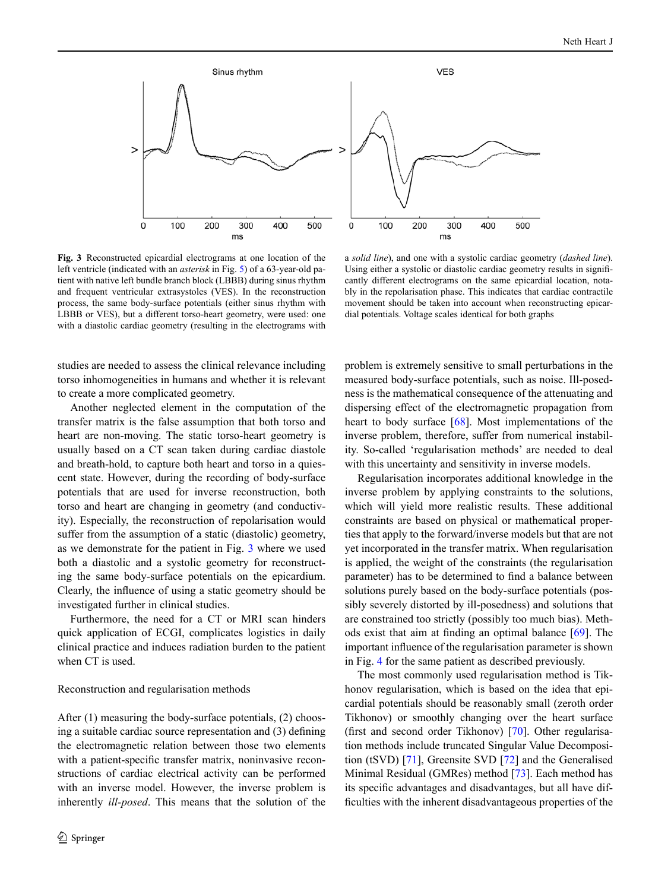<span id="page-5-0"></span>

**Fig. 3** Reconstructed epicardial electrograms at one location of the left ventricle (indicated with an *asterisk* in Fig. [5\)](#page-7-0) of a 63-year-old patient with native left bundle branch block (LBBB) during sinus rhythm and frequent ventricular extrasystoles (VES). In the reconstruction process, the same body-surface potentials (either sinus rhythm with LBBB or VES), but a different torso-heart geometry, were used: one with a diastolic cardiac geometry (resulting in the electrograms with

a *solid line*), and one with a systolic cardiac geometry (*dashed line*). Using either a systolic or diastolic cardiac geometry results in significantly different electrograms on the same epicardial location, notably in the repolarisation phase. This indicates that cardiac contractile movement should be taken into account when reconstructing epicardial potentials. Voltage scales identical for both graphs

studies are needed to assess the clinical relevance including torso inhomogeneities in humans and whether it is relevant to create a more complicated geometry.

Another neglected element in the computation of the transfer matrix is the false assumption that both torso and heart are non-moving. The static torso-heart geometry is usually based on a CT scan taken during cardiac diastole and breath-hold, to capture both heart and torso in a quiescent state. However, during the recording of body-surface potentials that are used for inverse reconstruction, both torso and heart are changing in geometry (and conductivity). Especially, the reconstruction of repolarisation would suffer from the assumption of a static (diastolic) geometry, as we demonstrate for the patient in Fig. [3](#page-5-0) where we used both a diastolic and a systolic geometry for reconstructing the same body-surface potentials on the epicardium. Clearly, the influence of using a static geometry should be investigated further in clinical studies.

Furthermore, the need for a CT or MRI scan hinders quick application of ECGI, complicates logistics in daily clinical practice and induces radiation burden to the patient when CT is used.

# Reconstruction and regularisation methods

After (1) measuring the body-surface potentials, (2) choosing a suitable cardiac source representation and (3) defining the electromagnetic relation between those two elements with a patient-specific transfer matrix, noninvasive reconstructions of cardiac electrical activity can be performed with an inverse model. However, the inverse problem is inherently *ill-posed*. This means that the solution of the problem is extremely sensitive to small perturbations in the measured body-surface potentials, such as noise. Ill-posedness is the mathematical consequence of the attenuating and dispersing effect of the electromagnetic propagation from heart to body surface [\[68](#page-9-28)]. Most implementations of the inverse problem, therefore, suffer from numerical instability. So-called 'regularisation methods' are needed to deal with this uncertainty and sensitivity in inverse models.

Regularisation incorporates additional knowledge in the inverse problem by applying constraints to the solutions, which will yield more realistic results. These additional constraints are based on physical or mathematical properties that apply to the forward/inverse models but that are not yet incorporated in the transfer matrix. When regularisation is applied, the weight of the constraints (the regularisation parameter) has to be determined to find a balance between solutions purely based on the body-surface potentials (possibly severely distorted by ill-posedness) and solutions that are constrained too strictly (possibly too much bias). Methods exist that aim at finding an optimal balance [[69\]](#page-9-29). The important influence of the regularisation parameter is shown in Fig. [4](#page-6-0) for the same patient as described previously.

The most commonly used regularisation method is Tikhonov regularisation, which is based on the idea that epicardial potentials should be reasonably small (zeroth order Tikhonov) or smoothly changing over the heart surface (first and second order Tikhonov) [[70](#page-9-30)]. Other regularisation methods include truncated Singular Value Decomposition (tSVD) [[71\]](#page-9-31), Greensite SVD [\[72](#page-9-32)] and the Generalised Minimal Residual (GMRes) method [\[73](#page-9-33)]. Each method has its specific advantages and disadvantages, but all have difficulties with the inherent disadvantageous properties of the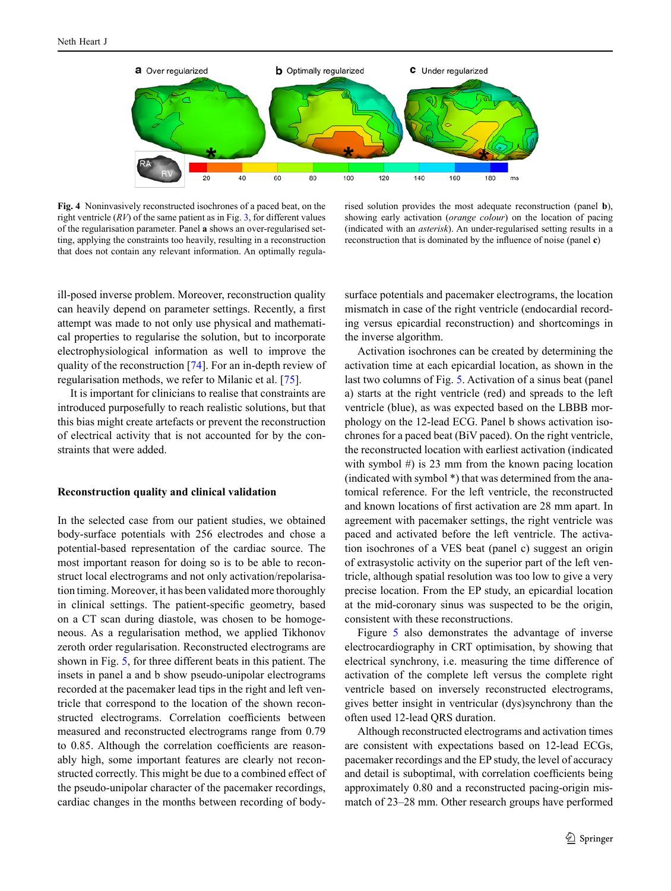<span id="page-6-0"></span>

**Fig. 4** Noninvasively reconstructed isochrones of a paced beat, on the right ventricle  $(RV)$  of the same patient as in Fig. [3,](#page-5-0) for different values of the regularisation parameter. Panel **a** shows an over-regularised setting, applying the constraints too heavily, resulting in a reconstruction that does not contain any relevant information. An optimally regula-

rised solution provides the most adequate reconstruction (panel **b**), showing early activation (*orange colour*) on the location of pacing (indicated with an *asterisk*). An under-regularised setting results in a reconstruction that is dominated by the influence of noise (panel **c**)

ill-posed inverse problem. Moreover, reconstruction quality can heavily depend on parameter settings. Recently, a first attempt was made to not only use physical and mathematical properties to regularise the solution, but to incorporate electrophysiological information as well to improve the quality of the reconstruction [\[74](#page-9-34)]. For an in-depth review of regularisation methods, we refer to Milanic et al. [\[75](#page-10-2)].

It is important for clinicians to realise that constraints are introduced purposefully to reach realistic solutions, but that this bias might create artefacts or prevent the reconstruction of electrical activity that is not accounted for by the constraints that were added.

## **Reconstruction quality and clinical validation**

In the selected case from our patient studies, we obtained body-surface potentials with 256 electrodes and chose a potential-based representation of the cardiac source. The most important reason for doing so is to be able to reconstruct local electrograms and not only activation/repolarisation timing. Moreover, it has been validated more thoroughly in clinical settings. The patient-specific geometry, based on a CT scan during diastole, was chosen to be homogeneous. As a regularisation method, we applied Tikhonov zeroth order regularisation. Reconstructed electrograms are shown in Fig. [5](#page-7-0), for three different beats in this patient. The insets in panel a and b show pseudo-unipolar electrograms recorded at the pacemaker lead tips in the right and left ventricle that correspond to the location of the shown reconstructed electrograms. Correlation coefficients between measured and reconstructed electrograms range from 0.79 to 0.85. Although the correlation coefficients are reasonably high, some important features are clearly not reconstructed correctly. This might be due to a combined effect of the pseudo-unipolar character of the pacemaker recordings, cardiac changes in the months between recording of bodysurface potentials and pacemaker electrograms, the location mismatch in case of the right ventricle (endocardial recording versus epicardial reconstruction) and shortcomings in the inverse algorithm.

Activation isochrones can be created by determining the activation time at each epicardial location, as shown in the last two columns of Fig. [5](#page-7-0). Activation of a sinus beat (panel a) starts at the right ventricle (red) and spreads to the left ventricle (blue), as was expected based on the LBBB morphology on the 12-lead ECG. Panel b shows activation isochrones for a paced beat (BiV paced). On the right ventricle, the reconstructed location with earliest activation (indicated with symbol  $#$ ) is 23 mm from the known pacing location (indicated with symbol \*) that was determined from the anatomical reference. For the left ventricle, the reconstructed and known locations of first activation are 28 mm apart. In agreement with pacemaker settings, the right ventricle was paced and activated before the left ventricle. The activation isochrones of a VES beat (panel c) suggest an origin of extrasystolic activity on the superior part of the left ventricle, although spatial resolution was too low to give a very precise location. From the EP study, an epicardial location at the mid-coronary sinus was suspected to be the origin, consistent with these reconstructions.

Figure [5](#page-7-0) also demonstrates the advantage of inverse electrocardiography in CRT optimisation, by showing that electrical synchrony, i.e. measuring the time difference of activation of the complete left versus the complete right ventricle based on inversely reconstructed electrograms, gives better insight in ventricular (dys)synchrony than the often used 12-lead QRS duration.

Although reconstructed electrograms and activation times are consistent with expectations based on 12-lead ECGs, pacemaker recordings and the EP study, the level of accuracy and detail is suboptimal, with correlation coefficients being approximately 0.80 and a reconstructed pacing-origin mismatch of 23–28 mm. Other research groups have performed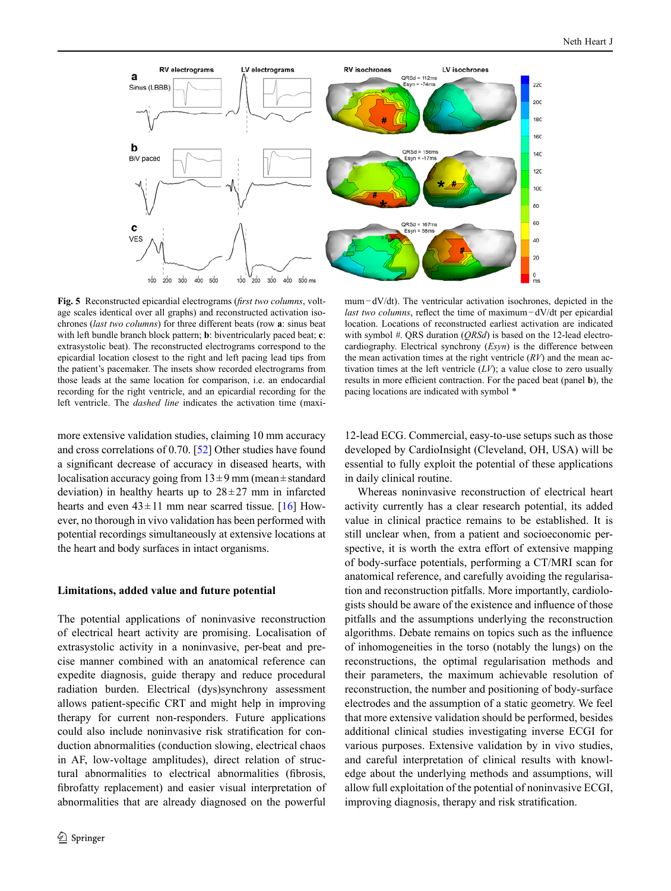<span id="page-7-0"></span>

**Fig. 5** Reconstructed epicardial electrograms (*first two columns*, voltage scales identical over all graphs) and reconstructed activation isochrones (*last two columns*) for three different beats (row **a**: sinus beat with left bundle branch block pattern; **b**: biventricularly paced beat; **c**: extrasystolic beat). The reconstructed electrograms correspond to the epicardial location closest to the right and left pacing lead tips from the patient's pacemaker. The insets show recorded electrograms from those leads at the same location for comparison, i.e. an endocardial recording for the right ventricle, and an epicardial recording for the left ventricle. The *dashed line* indicates the activation time (maxi-

more extensive validation studies, claiming 10 mm accuracy and cross correlations of 0.70. [\[52\]](#page-9-35) Other studies have found a significant decrease of accuracy in diseased hearts, with localisation accuracy going from  $13\pm9$  mm (mean $\pm$ standard deviation) in healthy hearts up to  $28 \pm 27$  mm in infarcted hearts and even  $43 \pm 11$  mm near scarred tissue. [\[16](#page-8-7)] However, no thorough in vivo validation has been performed with potential recordings simultaneously at extensive locations at the heart and body surfaces in intact organisms.

## **Limitations, added value and future potential**

The potential applications of noninvasive reconstruction of electrical heart activity are promising. Localisation of extrasystolic activity in a noninvasive, per-beat and precise manner combined with an anatomical reference can expedite diagnosis, guide therapy and reduce procedural radiation burden. Electrical (dys)synchrony assessment allows patient-specific CRT and might help in improving therapy for current non-responders. Future applications could also include noninvasive risk stratification for conduction abnormalities (conduction slowing, electrical chaos in AF, low-voltage amplitudes), direct relation of structural abnormalities to electrical abnormalities (fibrosis, fibrofatty replacement) and easier visual interpretation of abnormalities that are already diagnosed on the powerful

mum−dV/dt). The ventricular activation isochrones, depicted in the *last two columns*, reflect the time of maximum−dV/dt per epicardial location. Locations of reconstructed earliest activation are indicated with symbol *#*. QRS duration (*QRSd*) is based on the 12-lead electrocardiography. Electrical synchrony (*Esyn*) is the difference between the mean activation times at the right ventricle (*RV*) and the mean activation times at the left ventricle (*LV*); a value close to zero usually results in more efficient contraction. For the paced beat (panel **b**), the pacing locations are indicated with symbol *\**

12-lead ECG. Commercial, easy-to-use setups such as those developed by CardioInsight (Cleveland, OH, USA) will be essential to fully exploit the potential of these applications in daily clinical routine.

Whereas noninvasive reconstruction of electrical heart activity currently has a clear research potential, its added value in clinical practice remains to be established. It is still unclear when, from a patient and socioeconomic perspective, it is worth the extra effort of extensive mapping of body-surface potentials, performing a CT/MRI scan for anatomical reference, and carefully avoiding the regularisation and reconstruction pitfalls. More importantly, cardiologists should be aware of the existence and influence of those pitfalls and the assumptions underlying the reconstruction algorithms. Debate remains on topics such as the influence of inhomogeneities in the torso (notably the lungs) on the reconstructions, the optimal regularisation methods and their parameters, the maximum achievable resolution of reconstruction, the number and positioning of body-surface electrodes and the assumption of a static geometry. We feel that more extensive validation should be performed, besides additional clinical studies investigating inverse ECGI for various purposes. Extensive validation by in vivo studies, and careful interpretation of clinical results with knowledge about the underlying methods and assumptions, will allow full exploitation of the potential of noninvasive ECGI, improving diagnosis, therapy and risk stratification.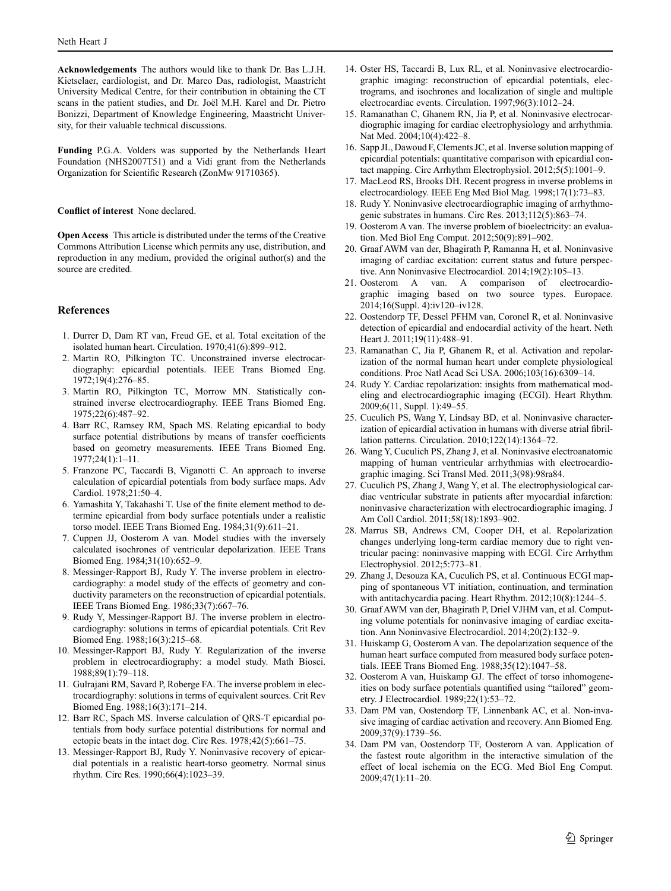**Acknowledgements** The authors would like to thank Dr. Bas L.J.H. Kietselaer, cardiologist, and Dr. Marco Das, radiologist, Maastricht University Medical Centre, for their contribution in obtaining the CT scans in the patient studies, and Dr. Joël M.H. Karel and Dr. Pietro Bonizzi, Department of Knowledge Engineering, Maastricht University, for their valuable technical discussions.

**Funding** P.G.A. Volders was supported by the Netherlands Heart Foundation (NHS2007T51) and a Vidi grant from the Netherlands Organization for Scientific Research (ZonMw 91710365).

## **Conflict of interest** None declared.

**Open Access** This article is distributed under the terms of the Creative Commons Attribution License which permits any use, distribution, and reproduction in any medium, provided the original author(s) and the source are credited.

# **References**

- <span id="page-8-0"></span>1. Durrer D, Dam RT van, Freud GE, et al. Total excitation of the isolated human heart. Circulation. 1970;41(6):899–912.
- <span id="page-8-1"></span>2. Martin RO, Pilkington TC. Unconstrained inverse electrocardiography: epicardial potentials. IEEE Trans Biomed Eng. 1972;19(4):276–85.
- 3. Martin RO, Pilkington TC, Morrow MN. Statistically constrained inverse electrocardiography. IEEE Trans Biomed Eng. 1975;22(6):487–92.
- 4. Barr RC, Ramsey RM, Spach MS. Relating epicardial to body surface potential distributions by means of transfer coefficients based on geometry measurements. IEEE Trans Biomed Eng. 1977;24(1):1–11.
- 5. Franzone PC, Taccardi B, Viganotti C. An approach to inverse calculation of epicardial potentials from body surface maps. Adv Cardiol. 1978;21:50–4.
- 6. Yamashita Y, Takahashi T. Use of the finite element method to determine epicardial from body surface potentials under a realistic torso model. IEEE Trans Biomed Eng. 1984;31(9):611–21.
- <span id="page-8-13"></span>7. Cuppen JJ, Oosterom A van. Model studies with the inversely calculated isochrones of ventricular depolarization. IEEE Trans Biomed Eng. 1984;31(10):652–9.
- 8. Messinger-Rapport BJ, Rudy Y. The inverse problem in electrocardiography: a model study of the effects of geometry and conductivity parameters on the reconstruction of epicardial potentials. IEEE Trans Biomed Eng. 1986;33(7):667–76.
- <span id="page-8-22"></span>9. Rudy Y, Messinger-Rapport BJ. The inverse problem in electrocardiography: solutions in terms of epicardial potentials. Crit Rev Biomed Eng. 1988;16(3):215–68.
- 10. Messinger-Rapport BJ, Rudy Y. Regularization of the inverse problem in electrocardiography: a model study. Math Biosci. 1988;89(1):79–118.
- <span id="page-8-2"></span>11. Gulrajani RM, Savard P, Roberge FA. The inverse problem in electrocardiography: solutions in terms of equivalent sources. Crit Rev Biomed Eng. 1988;16(3):171–214.
- <span id="page-8-3"></span>12. Barr RC, Spach MS. Inverse calculation of QRS-T epicardial potentials from body surface potential distributions for normal and ectopic beats in the intact dog. Circ Res. 1978;42(5):661–75.
- <span id="page-8-4"></span>13. Messinger-Rapport BJ, Rudy Y. Noninvasive recovery of epicardial potentials in a realistic heart-torso geometry. Normal sinus rhythm. Circ Res. 1990;66(4):1023–39.
- <span id="page-8-5"></span>14. Oster HS, Taccardi B, Lux RL, et al. Noninvasive electrocardiographic imaging: reconstruction of epicardial potentials, electrograms, and isochrones and localization of single and multiple electrocardiac events. Circulation. 1997;96(3):1012–24.
- <span id="page-8-6"></span>15. Ramanathan C, Ghanem RN, Jia P, et al. Noninvasive electrocardiographic imaging for cardiac electrophysiology and arrhythmia. Nat Med. 2004;10(4):422–8.
- <span id="page-8-7"></span>16. Sapp JL, Dawoud F, Clements JC, et al. Inverse solution mapping of epicardial potentials: quantitative comparison with epicardial contact mapping. Circ Arrhythm Electrophysiol. 2012;5(5):1001–9.
- <span id="page-8-8"></span>17. MacLeod RS, Brooks DH. Recent progress in inverse problems in electrocardiology. IEEE Eng Med Biol Mag. 1998;17(1):73–83.
- 18. Rudy Y. Noninvasive electrocardiographic imaging of arrhythmogenic substrates in humans. Circ Res. 2013;112(5):863–74.
- 19. Oosterom A van. The inverse problem of bioelectricity: an evaluation. Med Biol Eng Comput. 2012;50(9):891–902.
- 20. Graaf AWM van der, Bhagirath P, Ramanna H, et al. Noninvasive imaging of cardiac excitation: current status and future perspective. Ann Noninvasive Electrocardiol. 2014;19(2):105–13.
- <span id="page-8-9"></span>21. Oosterom A van. A comparison of electrocardiographic imaging based on two source types. Europace. 2014;16(Suppl. 4):iv120–iv128.
- <span id="page-8-10"></span>22. Oostendorp TF, Dessel PFHM van, Coronel R, et al. Noninvasive detection of epicardial and endocardial activity of the heart. Neth Heart J. 2011;19(11):488–91.
- <span id="page-8-11"></span>23. Ramanathan C, Jia P, Ghanem R, et al. Activation and repolarization of the normal human heart under complete physiological conditions. Proc Natl Acad Sci USA. 2006;103(16):6309–14.
- <span id="page-8-18"></span>24. Rudy Y. Cardiac repolarization: insights from mathematical modeling and electrocardiographic imaging (ECGI). Heart Rhythm. 2009;6(11, Suppl. 1):49–55.
- <span id="page-8-17"></span>25. Cuculich PS, Wang Y, Lindsay BD, et al. Noninvasive characterization of epicardial activation in humans with diverse atrial fibrillation patterns. Circulation. 2010;122(14):1364–72.
- <span id="page-8-21"></span>26. Wang Y, Cuculich PS, Zhang J, et al. Noninvasive electroanatomic mapping of human ventricular arrhythmias with electrocardiographic imaging. Sci Transl Med. 2011;3(98):98ra84.
- <span id="page-8-20"></span>27. Cuculich PS, Zhang J, Wang Y, et al. The electrophysiological cardiac ventricular substrate in patients after myocardial infarction: noninvasive characterization with electrocardiographic imaging. J Am Coll Cardiol. 2011;58(18):1893–902.
- <span id="page-8-19"></span>28. Marrus SB, Andrews CM, Cooper DH, et al. Repolarization changes underlying long-term cardiac memory due to right ventricular pacing: noninvasive mapping with ECGI. Circ Arrhythm Electrophysiol. 2012;5:773–81.
- <span id="page-8-12"></span>29. Zhang J, Desouza KA, Cuculich PS, et al. Continuous ECGI mapping of spontaneous VT initiation, continuation, and termination with antitachycardia pacing. Heart Rhythm. 2012;10(8):1244–5.
- <span id="page-8-14"></span>30. Graaf AWM van der, Bhagirath P, Driel VJHM van, et al. Computing volume potentials for noninvasive imaging of cardiac excitation. Ann Noninvasive Electrocardiol. 2014;20(2):132–9.
- 31. Huiskamp G, Oosterom A van. The depolarization sequence of the human heart surface computed from measured body surface potentials. IEEE Trans Biomed Eng. 1988;35(12):1047–58.
- 32. Oosterom A van, Huiskamp GJ. The effect of torso inhomogeneities on body surface potentials quantified using "tailored" geometry. J Electrocardiol. 1989;22(1):53–72.
- <span id="page-8-16"></span>33. Dam PM van, Oostendorp TF, Linnenbank AC, et al. Non-invasive imaging of cardiac activation and recovery. Ann Biomed Eng. 2009;37(9):1739–56.
- <span id="page-8-15"></span>34. Dam PM van, Oostendorp TF, Oosterom A van. Application of the fastest route algorithm in the interactive simulation of the effect of local ischemia on the ECG. Med Biol Eng Comput. 2009;47(1):11–20.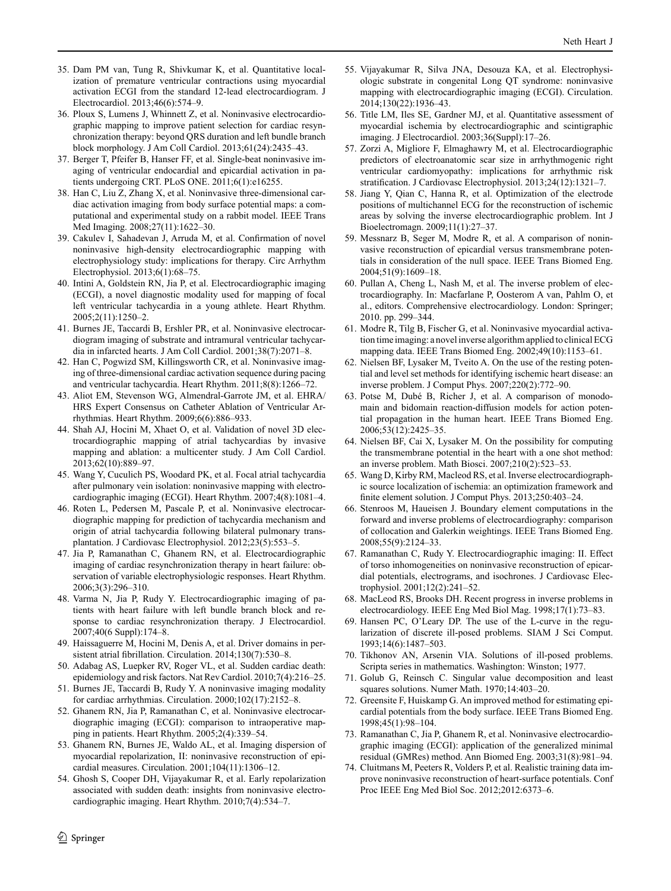- <span id="page-9-0"></span>35. Dam PM van, Tung R, Shivkumar K, et al. Quantitative localization of premature ventricular contractions using myocardial activation ECGI from the standard 12-lead electrocardiogram. J Electrocardiol. 2013;46(6):574–9.
- <span id="page-9-1"></span>36. Ploux S, Lumens J, Whinnett Z, et al. Noninvasive electrocardiographic mapping to improve patient selection for cardiac resynchronization therapy: beyond QRS duration and left bundle branch block morphology. J Am Coll Cardiol. 2013;61(24):2435–43.
- <span id="page-9-2"></span>37. Berger T, Pfeifer B, Hanser FF, et al. Single-beat noninvasive imaging of ventricular endocardial and epicardial activation in patients undergoing CRT. PLoS ONE. 2011;6(1):e16255.
- <span id="page-9-3"></span>38. Han C, Liu Z, Zhang X, et al. Noninvasive three-dimensional cardiac activation imaging from body surface potential maps: a computational and experimental study on a rabbit model. IEEE Trans Med Imaging. 2008;27(11):1622–30.
- <span id="page-9-15"></span>39. Cakulev I, Sahadevan J, Arruda M, et al. Confirmation of novel noninvasive high-density electrocardiographic mapping with electrophysiology study: implications for therapy. Circ Arrhythm Electrophysiol. 2013;6(1):68–75.
- <span id="page-9-6"></span>40. Intini A, Goldstein RN, Jia P, et al. Electrocardiographic imaging (ECGI), a novel diagnostic modality used for mapping of focal left ventricular tachycardia in a young athlete. Heart Rhythm. 2005;2(11):1250–2.
- 41. Burnes JE, Taccardi B, Ershler PR, et al. Noninvasive electrocardiogram imaging of substrate and intramural ventricular tachycardia in infarcted hearts. J Am Coll Cardiol. 2001;38(7):2071–8.
- <span id="page-9-16"></span>42. Han C, Pogwizd SM, Killingsworth CR, et al. Noninvasive imaging of three-dimensional cardiac activation sequence during pacing and ventricular tachycardia. Heart Rhythm. 2011;8(8):1266–72.
- <span id="page-9-17"></span>43. Aliot EM, Stevenson WG, Almendral-Garrote JM, et al. EHRA/ HRS Expert Consensus on Catheter Ablation of Ventricular Arrhythmias. Heart Rhythm. 2009;6(6):886–933.
- <span id="page-9-4"></span>44. Shah AJ, Hocini M, Xhaet O, et al. Validation of novel 3D electrocardiographic mapping of atrial tachycardias by invasive mapping and ablation: a multicenter study. J Am Coll Cardiol. 2013;62(10):889–97.
- 45. Wang Y, Cuculich PS, Woodard PK, et al. Focal atrial tachycardia after pulmonary vein isolation: noninvasive mapping with electrocardiographic imaging (ECGI). Heart Rhythm. 2007;4(8):1081–4.
- <span id="page-9-5"></span>46. Roten L, Pedersen M, Pascale P, et al. Noninvasive electrocardiographic mapping for prediction of tachycardia mechanism and origin of atrial tachycardia following bilateral pulmonary transplantation. J Cardiovasc Electrophysiol. 2012;23(5):553–5.
- <span id="page-9-7"></span>47. Jia P, Ramanathan C, Ghanem RN, et al. Electrocardiographic imaging of cardiac resynchronization therapy in heart failure: observation of variable electrophysiologic responses. Heart Rhythm. 2006;3(3):296–310.
- <span id="page-9-8"></span>48. Varma N, Jia P, Rudy Y. Electrocardiographic imaging of patients with heart failure with left bundle branch block and response to cardiac resynchronization therapy. J Electrocardiol. 2007;40(6 Suppl):174–8.
- <span id="page-9-9"></span>49. Haissaguerre M, Hocini M, Denis A, et al. Driver domains in persistent atrial fibrillation. Circulation. 2014;130(7):530–8.
- <span id="page-9-10"></span>50. Adabag AS, Luepker RV, Roger VL, et al. Sudden cardiac death: epidemiology and risk factors. Nat Rev Cardiol. 2010;7(4):216–25.
- <span id="page-9-11"></span>51. Burnes JE, Taccardi B, Rudy Y. A noninvasive imaging modality for cardiac arrhythmias. Circulation. 2000;102(17):2152–8.
- <span id="page-9-35"></span>52. Ghanem RN, Jia P, Ramanathan C, et al. Noninvasive electrocardiographic imaging (ECGI): comparison to intraoperative mapping in patients. Heart Rhythm. 2005;2(4):339–54.
- <span id="page-9-18"></span>53. Ghanem RN, Burnes JE, Waldo AL, et al. Imaging dispersion of myocardial repolarization, II: noninvasive reconstruction of epicardial measures. Circulation. 2001;104(11):1306–12.
- 54. Ghosh S, Cooper DH, Vijayakumar R, et al. Early repolarization associated with sudden death: insights from noninvasive electrocardiographic imaging. Heart Rhythm. 2010;7(4):534–7.
- <span id="page-9-12"></span>55. Vijayakumar R, Silva JNA, Desouza KA, et al. Electrophysiologic substrate in congenital Long QT syndrome: noninvasive mapping with electrocardiographic imaging (ECGI). Circulation. 2014;130(22):1936–43.
- <span id="page-9-13"></span>56. Title LM, Iles SE, Gardner MJ, et al. Quantitative assessment of myocardial ischemia by electrocardiographic and scintigraphic imaging. J Electrocardiol. 2003;36(Suppl):17–26.
- <span id="page-9-14"></span>57. Zorzi A, Migliore F, Elmaghawry M, et al. Electrocardiographic predictors of electroanatomic scar size in arrhythmogenic right ventricular cardiomyopathy: implications for arrhythmic risk stratification. J Cardiovasc Electrophysiol. 2013;24(12):1321–7.
- <span id="page-9-25"></span>58. Jiang Y, Qian C, Hanna R, et al. Optimization of the electrode positions of multichannel ECG for the reconstruction of ischemic areas by solving the inverse electrocardiographic problem. Int J Bioelectromagn. 2009;11(1):27–37.
- <span id="page-9-19"></span>59. Messnarz B, Seger M, Modre R, et al. A comparison of noninvasive reconstruction of epicardial versus transmembrane potentials in consideration of the null space. IEEE Trans Biomed Eng. 2004;51(9):1609–18.
- <span id="page-9-20"></span>60. Pullan A, Cheng L, Nash M, et al. The inverse problem of electrocardiography. In: Macfarlane P, Oosterom A van, Pahlm O, et al., editors. Comprehensive electrocardiology. London: Springer; 2010. pp. 299–344.
- <span id="page-9-21"></span>61. Modre R, Tilg B, Fischer G, et al. Noninvasive myocardial activation time imaging: a novel inverse algorithm applied to clinical ECG mapping data. IEEE Trans Biomed Eng. 2002;49(10):1153–61.
- <span id="page-9-22"></span>62. Nielsen BF, Lysaker M, Tveito A. On the use of the resting potential and level set methods for identifying ischemic heart disease: an inverse problem. J Comput Phys. 2007;220(2):772–90.
- <span id="page-9-23"></span>63. Potse M, Dubé B, Richer J, et al. A comparison of monodomain and bidomain reaction-diffusion models for action potential propagation in the human heart. IEEE Trans Biomed Eng. 2006;53(12):2425–35.
- 64. Nielsen BF, Cai X, Lysaker M. On the possibility for computing the transmembrane potential in the heart with a one shot method: an inverse problem. Math Biosci. 2007;210(2):523–53.
- <span id="page-9-24"></span>65. Wang D, Kirby RM, Macleod RS, et al. Inverse electrocardiographic source localization of ischemia: an optimization framework and finite element solution. J Comput Phys. 2013;250:403–24.
- <span id="page-9-26"></span>66. Stenroos M, Haueisen J. Boundary element computations in the forward and inverse problems of electrocardiography: comparison of collocation and Galerkin weightings. IEEE Trans Biomed Eng. 2008;55(9):2124–33.
- <span id="page-9-27"></span>67. Ramanathan C, Rudy Y. Electrocardiographic imaging: II. Effect of torso inhomogeneities on noninvasive reconstruction of epicardial potentials, electrograms, and isochrones. J Cardiovasc Electrophysiol. 2001;12(2):241–52.
- <span id="page-9-28"></span>68. MacLeod RS, Brooks DH. Recent progress in inverse problems in electrocardiology. IEEE Eng Med Biol Mag. 1998;17(1):73–83.
- <span id="page-9-29"></span>69. Hansen PC, O'Leary DP. The use of the L-curve in the regularization of discrete ill-posed problems. SIAM J Sci Comput. 1993;14(6):1487–503.
- <span id="page-9-30"></span>70. Tikhonov AN, Arsenin VIA. Solutions of ill-posed problems. Scripta series in mathematics. Washington: Winston; 1977.
- <span id="page-9-31"></span>71. Golub G, Reinsch C. Singular value decomposition and least squares solutions. Numer Math. 1970;14:403–20.
- <span id="page-9-32"></span>72. Greensite F, Huiskamp G. An improved method for estimating epicardial potentials from the body surface. IEEE Trans Biomed Eng. 1998;45(1):98–104.
- <span id="page-9-33"></span>73. Ramanathan C, Jia P, Ghanem R, et al. Noninvasive electrocardiographic imaging (ECGI): application of the generalized minimal residual (GMRes) method. Ann Biomed Eng. 2003;31(8):981–94.
- <span id="page-9-34"></span>74. Cluitmans M, Peeters R, Volders P, et al. Realistic training data improve noninvasive reconstruction of heart-surface potentials. Conf Proc IEEE Eng Med Biol Soc. 2012;2012:6373–6.